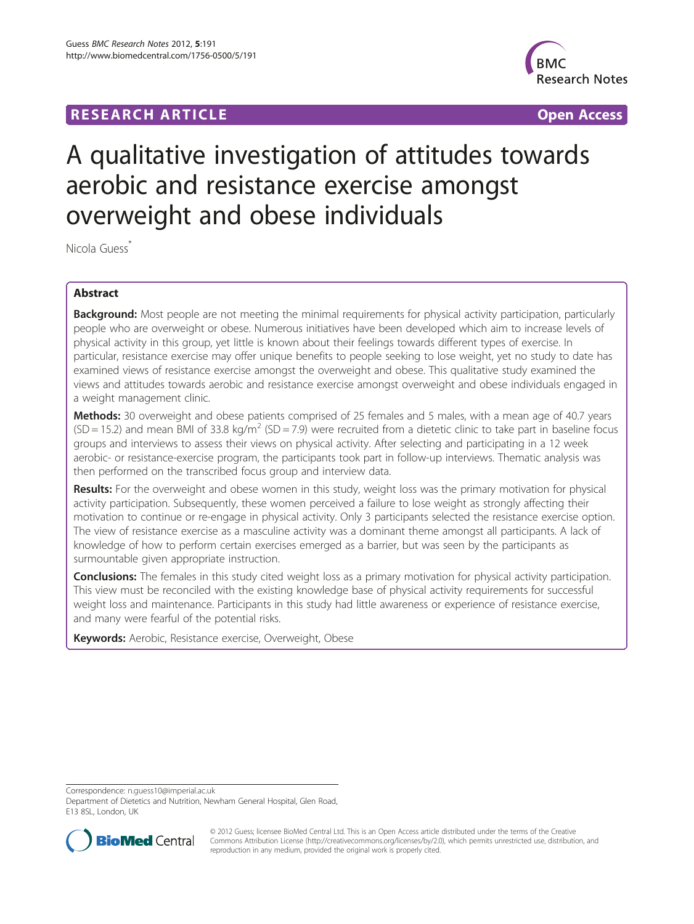## **RESEARCH ARTICLE Example 2014 CONSIDERING A RESEARCH ARTICLE**



# A qualitative investigation of attitudes towards aerobic and resistance exercise amongst overweight and obese individuals

Nicola Guess<sup>\*</sup>

## Abstract

Background: Most people are not meeting the minimal requirements for physical activity participation, particularly people who are overweight or obese. Numerous initiatives have been developed which aim to increase levels of physical activity in this group, yet little is known about their feelings towards different types of exercise. In particular, resistance exercise may offer unique benefits to people seeking to lose weight, yet no study to date has examined views of resistance exercise amongst the overweight and obese. This qualitative study examined the views and attitudes towards aerobic and resistance exercise amongst overweight and obese individuals engaged in a weight management clinic.

Methods: 30 overweight and obese patients comprised of 25 females and 5 males, with a mean age of 40.7 years  $(SD = 15.2)$  and mean BMI of 33.8 kg/m<sup>2</sup> (SD = 7.9) were recruited from a dietetic clinic to take part in baseline focus groups and interviews to assess their views on physical activity. After selecting and participating in a 12 week aerobic- or resistance-exercise program, the participants took part in follow-up interviews. Thematic analysis was then performed on the transcribed focus group and interview data.

Results: For the overweight and obese women in this study, weight loss was the primary motivation for physical activity participation. Subsequently, these women perceived a failure to lose weight as strongly affecting their motivation to continue or re-engage in physical activity. Only 3 participants selected the resistance exercise option. The view of resistance exercise as a masculine activity was a dominant theme amongst all participants. A lack of knowledge of how to perform certain exercises emerged as a barrier, but was seen by the participants as surmountable given appropriate instruction.

**Conclusions:** The females in this study cited weight loss as a primary motivation for physical activity participation. This view must be reconciled with the existing knowledge base of physical activity requirements for successful weight loss and maintenance. Participants in this study had little awareness or experience of resistance exercise, and many were fearful of the potential risks.

Keywords: Aerobic, Resistance exercise, Overweight, Obese

Correspondence: [n.guess10@imperial.ac.uk](mailto:n.guess10@imperial.ac.uk)

Department of Dietetics and Nutrition, Newham General Hospital, Glen Road, E13 8SL, London, UK



© 2012 Guess; licensee BioMed Central Ltd. This is an Open Access article distributed under the terms of the Creative Commons Attribution License [\(http://creativecommons.org/licenses/by/2.0\)](http://creativecommons.org/licenses/by/2.0), which permits unrestricted use, distribution, and reproduction in any medium, provided the original work is properly cited.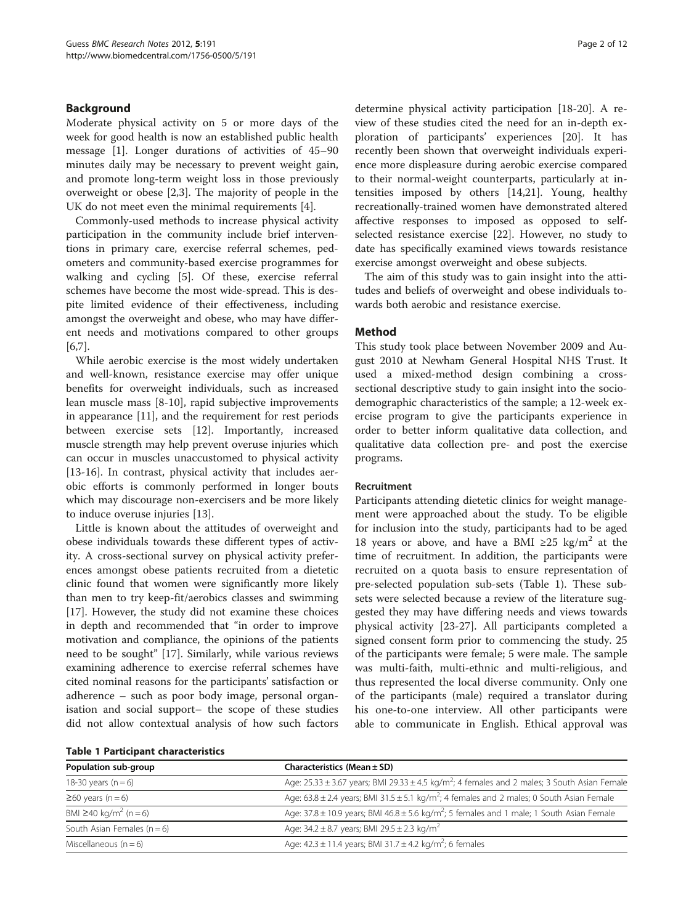## Background

Moderate physical activity on 5 or more days of the week for good health is now an established public health message [[1](#page-10-0)]. Longer durations of activities of 45–90 minutes daily may be necessary to prevent weight gain, and promote long-term weight loss in those previously overweight or obese [[2](#page-11-0),[3\]](#page-11-0). The majority of people in the UK do not meet even the minimal requirements [\[4](#page-11-0)].

Commonly-used methods to increase physical activity participation in the community include brief interventions in primary care, exercise referral schemes, pedometers and community-based exercise programmes for walking and cycling [\[5\]](#page-11-0). Of these, exercise referral schemes have become the most wide-spread. This is despite limited evidence of their effectiveness, including amongst the overweight and obese, who may have different needs and motivations compared to other groups [[6,7\]](#page-11-0).

While aerobic exercise is the most widely undertaken and well-known, resistance exercise may offer unique benefits for overweight individuals, such as increased lean muscle mass [\[8](#page-11-0)-[10\]](#page-11-0), rapid subjective improvements in appearance [\[11](#page-11-0)], and the requirement for rest periods between exercise sets [\[12](#page-11-0)]. Importantly, increased muscle strength may help prevent overuse injuries which can occur in muscles unaccustomed to physical activity [[13-16](#page-11-0)]. In contrast, physical activity that includes aerobic efforts is commonly performed in longer bouts which may discourage non-exercisers and be more likely to induce overuse injuries [[13](#page-11-0)].

Little is known about the attitudes of overweight and obese individuals towards these different types of activity. A cross-sectional survey on physical activity preferences amongst obese patients recruited from a dietetic clinic found that women were significantly more likely than men to try keep-fit/aerobics classes and swimming [[17\]](#page-11-0). However, the study did not examine these choices in depth and recommended that "in order to improve motivation and compliance, the opinions of the patients need to be sought" [[17\]](#page-11-0). Similarly, while various reviews examining adherence to exercise referral schemes have cited nominal reasons for the participants' satisfaction or adherence – such as poor body image, personal organisation and social support– the scope of these studies did not allow contextual analysis of how such factors determine physical activity participation [[18-20](#page-11-0)]. A review of these studies cited the need for an in-depth exploration of participants' experiences [[20\]](#page-11-0). It has recently been shown that overweight individuals experience more displeasure during aerobic exercise compared to their normal-weight counterparts, particularly at intensities imposed by others [[14,21\]](#page-11-0). Young, healthy recreationally-trained women have demonstrated altered affective responses to imposed as opposed to selfselected resistance exercise [\[22](#page-11-0)]. However, no study to date has specifically examined views towards resistance exercise amongst overweight and obese subjects.

The aim of this study was to gain insight into the attitudes and beliefs of overweight and obese individuals towards both aerobic and resistance exercise.

### Method

This study took place between November 2009 and August 2010 at Newham General Hospital NHS Trust. It used a mixed-method design combining a crosssectional descriptive study to gain insight into the sociodemographic characteristics of the sample; a 12-week exercise program to give the participants experience in order to better inform qualitative data collection, and qualitative data collection pre- and post the exercise programs.

#### Recruitment

Participants attending dietetic clinics for weight management were approached about the study. To be eligible for inclusion into the study, participants had to be aged 18 years or above, and have a BMI  $\geq$ 25 kg/m<sup>2</sup> at the time of recruitment. In addition, the participants were recruited on a quota basis to ensure representation of pre-selected population sub-sets (Table 1). These subsets were selected because a review of the literature suggested they may have differing needs and views towards physical activity [[23-27\]](#page-11-0). All participants completed a signed consent form prior to commencing the study. 25 of the participants were female; 5 were male. The sample was multi-faith, multi-ethnic and multi-religious, and thus represented the local diverse community. Only one of the participants (male) required a translator during his one-to-one interview. All other participants were able to communicate in English. Ethical approval was

| <b>Table 1 Participant characteristics</b> |  |
|--------------------------------------------|--|
|--------------------------------------------|--|

| Population sub-group                    | Characteristics (Mean $\pm$ SD)                                                                                  |
|-----------------------------------------|------------------------------------------------------------------------------------------------------------------|
| 18-30 years $(n=6)$                     | Age: $25.33 \pm 3.67$ years; BMI 29.33 $\pm 4.5$ kg/m <sup>2</sup> ; 4 females and 2 males; 3 South Asian Female |
| $\geq 60$ years (n = 6)                 | Age: $63.8 \pm 2.4$ years; BMI 31.5 $\pm$ 5.1 kg/m <sup>2</sup> ; 4 females and 2 males; 0 South Asian Female    |
| BMI $\geq$ 40 kg/m <sup>2</sup> (n = 6) | Age: $37.8 \pm 10.9$ years; BMI 46.8 $\pm$ 5.6 kg/m <sup>2</sup> ; 5 females and 1 male; 1 South Asian Female    |
| South Asian Females $(n = 6)$           | Age: $34.2 \pm 8.7$ years; BMI 29.5 $\pm$ 2.3 kg/m <sup>2</sup>                                                  |
| Miscellaneous $(n=6)$                   | Age: $42.3 \pm 11.4$ years; BMI 31.7 $\pm 4.2$ kg/m <sup>2</sup> ; 6 females                                     |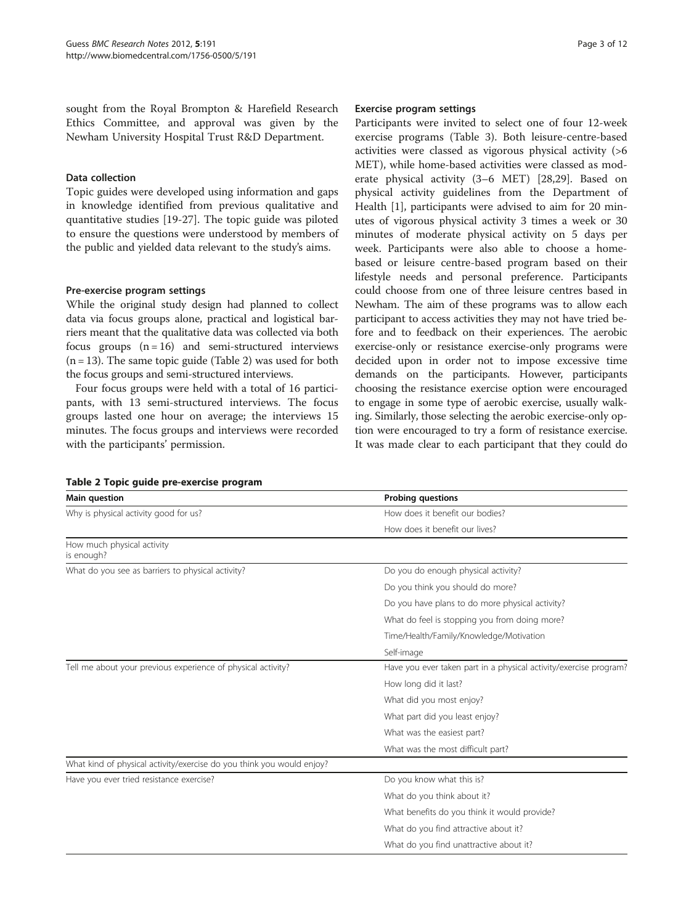sought from the Royal Brompton & Harefield Research Ethics Committee, and approval was given by the Newham University Hospital Trust R&D Department.

### Data collection

Topic guides were developed using information and gaps in knowledge identified from previous qualitative and quantitative studies [\[19-27](#page-11-0)]. The topic guide was piloted to ensure the questions were understood by members of the public and yielded data relevant to the study's aims.

## Pre-exercise program settings

While the original study design had planned to collect data via focus groups alone, practical and logistical barriers meant that the qualitative data was collected via both focus groups  $(n = 16)$  and semi-structured interviews  $(n = 13)$ . The same topic guide (Table 2) was used for both the focus groups and semi-structured interviews.

Four focus groups were held with a total of 16 participants, with 13 semi-structured interviews. The focus groups lasted one hour on average; the interviews 15 minutes. The focus groups and interviews were recorded with the participants' permission.

#### Exercise program settings

Participants were invited to select one of four 12-week exercise programs (Table [3](#page-3-0)). Both leisure-centre-based activities were classed as vigorous physical activity (>6 MET), while home-based activities were classed as moderate physical activity (3–6 MET) [[28](#page-11-0),[29](#page-11-0)]. Based on physical activity guidelines from the Department of Health [[1\]](#page-10-0), participants were advised to aim for 20 minutes of vigorous physical activity 3 times a week or 30 minutes of moderate physical activity on 5 days per week. Participants were also able to choose a homebased or leisure centre-based program based on their lifestyle needs and personal preference. Participants could choose from one of three leisure centres based in Newham. The aim of these programs was to allow each participant to access activities they may not have tried before and to feedback on their experiences. The aerobic exercise-only or resistance exercise-only programs were decided upon in order not to impose excessive time demands on the participants. However, participants choosing the resistance exercise option were encouraged to engage in some type of aerobic exercise, usually walking. Similarly, those selecting the aerobic exercise-only option were encouraged to try a form of resistance exercise. It was made clear to each participant that they could do

| Main question                                                         | <b>Probing questions</b>                                          |  |  |
|-----------------------------------------------------------------------|-------------------------------------------------------------------|--|--|
| Why is physical activity good for us?                                 | How does it benefit our bodies?                                   |  |  |
|                                                                       | How does it benefit our lives?                                    |  |  |
| How much physical activity<br>is enough?                              |                                                                   |  |  |
| What do you see as barriers to physical activity?                     | Do you do enough physical activity?                               |  |  |
|                                                                       | Do you think you should do more?                                  |  |  |
|                                                                       | Do you have plans to do more physical activity?                   |  |  |
|                                                                       | What do feel is stopping you from doing more?                     |  |  |
|                                                                       | Time/Health/Family/Knowledge/Motivation                           |  |  |
|                                                                       | Self-image                                                        |  |  |
| Tell me about your previous experience of physical activity?          | Have you ever taken part in a physical activity/exercise program? |  |  |
|                                                                       | How long did it last?                                             |  |  |
|                                                                       | What did you most enjoy?                                          |  |  |
|                                                                       | What part did you least enjoy?                                    |  |  |
|                                                                       | What was the easiest part?                                        |  |  |
|                                                                       | What was the most difficult part?                                 |  |  |
| What kind of physical activity/exercise do you think you would enjoy? |                                                                   |  |  |
| Have you ever tried resistance exercise?                              | Do you know what this is?                                         |  |  |
|                                                                       | What do you think about it?                                       |  |  |
|                                                                       | What benefits do you think it would provide?                      |  |  |
|                                                                       | What do you find attractive about it?                             |  |  |
|                                                                       | What do you find unattractive about it?                           |  |  |

## Table 2 Topic guide pre-exercise program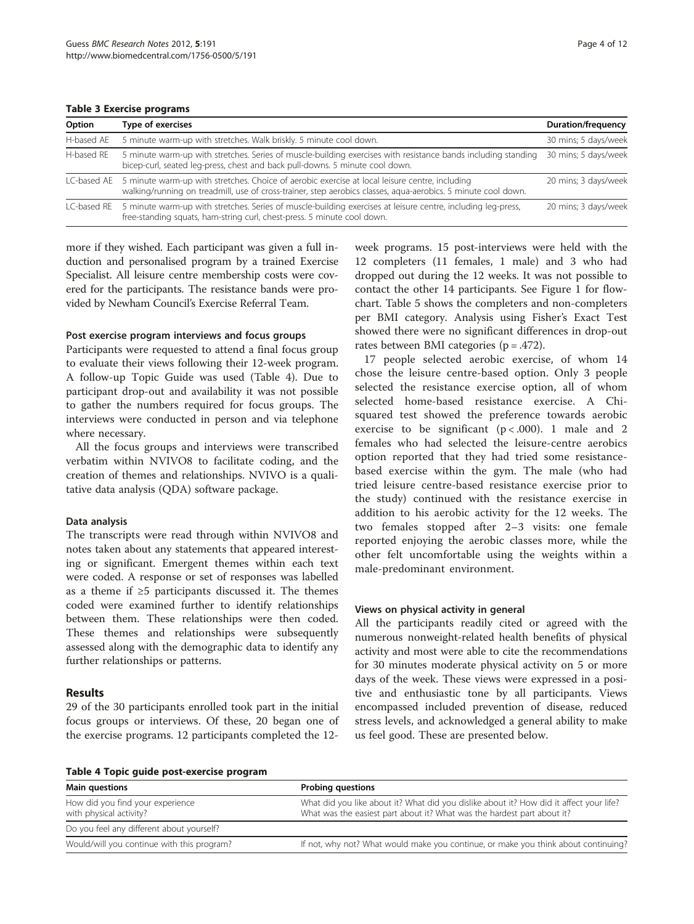<span id="page-3-0"></span>Table 3 Exercise programs

| Option     | Type of exercises                                                                                                                                                                                                           | <b>Duration/frequency</b> |
|------------|-----------------------------------------------------------------------------------------------------------------------------------------------------------------------------------------------------------------------------|---------------------------|
| H-based AE | 5 minute warm-up with stretches. Walk briskly, 5 minute cool down.                                                                                                                                                          | 30 mins; 5 days/week      |
| H-based RE | 5 minute warm-up with stretches. Series of muscle-building exercises with resistance bands including standing<br>bicep-curl, seated leg-press, chest and back pull-downs. 5 minute cool down.                               | 30 mins; 5 days/week      |
|            | LC-based AE 5 minute warm-up with stretches. Choice of aerobic exercise at local leisure centre, including<br>walking/running on treadmill, use of cross-trainer, step aerobics classes, aqua-aerobics. 5 minute cool down. | 20 mins; 3 days/week      |
|            | LC-based RE 5 minute warm-up with stretches. Series of muscle-building exercises at leisure centre, including leg-press,<br>free-standing squats, ham-string curl, chest-press. 5 minute cool down.                         | 20 mins; 3 days/week      |

more if they wished. Each participant was given a full induction and personalised program by a trained Exercise Specialist. All leisure centre membership costs were covered for the participants. The resistance bands were provided by Newham Council's Exercise Referral Team.

#### Post exercise program interviews and focus groups

Participants were requested to attend a final focus group to evaluate their views following their 12-week program. A follow-up Topic Guide was used (Table 4). Due to participant drop-out and availability it was not possible to gather the numbers required for focus groups. The interviews were conducted in person and via telephone where necessary.

All the focus groups and interviews were transcribed verbatim within NVIVO8 to facilitate coding, and the creation of themes and relationships. NVIVO is a qualitative data analysis (QDA) software package.

#### Data analysis

The transcripts were read through within NVIVO8 and notes taken about any statements that appeared interesting or significant. Emergent themes within each text were coded. A response or set of responses was labelled as a theme if ≥5 participants discussed it. The themes coded were examined further to identify relationships between them. These relationships were then coded. These themes and relationships were subsequently assessed along with the demographic data to identify any further relationships or patterns.

## Results

29 of the 30 participants enrolled took part in the initial focus groups or interviews. Of these, 20 began one of the exercise programs. 12 participants completed the 12week programs. 15 post-interviews were held with the 12 completers (11 females, 1 male) and 3 who had dropped out during the 12 weeks. It was not possible to contact the other 14 participants. See Figure [1](#page-4-0) for flowchart. Table [5](#page-4-0) shows the completers and non-completers per BMI category. Analysis using Fisher's Exact Test showed there were no significant differences in drop-out rates between BMI categories  $(p = .472)$ .

17 people selected aerobic exercise, of whom 14 chose the leisure centre-based option. Only 3 people selected the resistance exercise option, all of whom selected home-based resistance exercise. A Chisquared test showed the preference towards aerobic exercise to be significant  $(p < .000)$ . 1 male and 2 females who had selected the leisure-centre aerobics option reported that they had tried some resistancebased exercise within the gym. The male (who had tried leisure centre-based resistance exercise prior to the study) continued with the resistance exercise in addition to his aerobic activity for the 12 weeks. The two females stopped after 2–3 visits: one female reported enjoying the aerobic classes more, while the other felt uncomfortable using the weights within a male-predominant environment.

#### Views on physical activity in general

All the participants readily cited or agreed with the numerous nonweight-related health benefits of physical activity and most were able to cite the recommendations for 30 minutes moderate physical activity on 5 or more days of the week. These views were expressed in a positive and enthusiastic tone by all participants. Views encompassed included prevention of disease, reduced stress levels, and acknowledged a general ability to make us feel good. These are presented below.

Table 4 Topic guide post-exercise program

| $1800 - 1900$ gaige post called program                     |                                                                                                                                                                    |  |  |  |
|-------------------------------------------------------------|--------------------------------------------------------------------------------------------------------------------------------------------------------------------|--|--|--|
| <b>Main questions</b>                                       | <b>Probing questions</b>                                                                                                                                           |  |  |  |
| How did you find your experience<br>with physical activity? | What did you like about it? What did you dislike about it? How did it affect your life?<br>What was the easiest part about it? What was the hardest part about it? |  |  |  |
| Do you feel any different about yourself?                   |                                                                                                                                                                    |  |  |  |
| Would/will you continue with this program?                  | If not, why not? What would make you continue, or make you think about continuing?                                                                                 |  |  |  |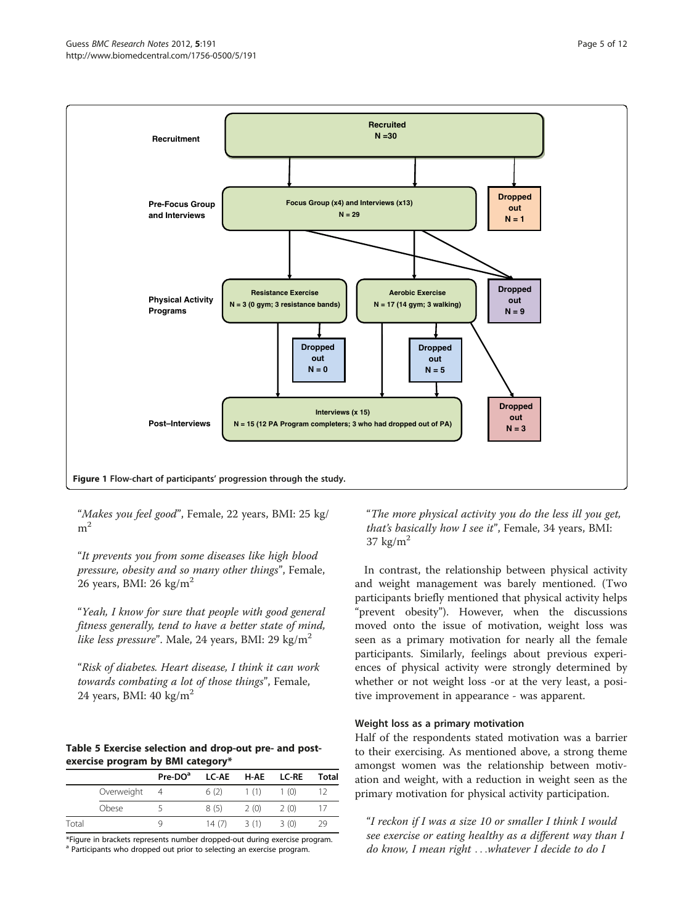<span id="page-4-0"></span>

"Makes you feel good", Female, 22 years, BMI: 25 kg/  $m<sup>2</sup>$ 

"It prevents you from some diseases like high blood pressure, obesity and so many other things", Female, 26 years, BMI: 26 kg/ $m<sup>2</sup>$ 

"Yeah, I know for sure that people with good general fitness generally, tend to have a better state of mind, like less pressure". Male, 24 years, BMI: 29 kg/m<sup>2</sup>

"Risk of diabetes. Heart disease, I think it can work towards combating a lot of those things", Female, 24 years, BMI:  $40 \text{ kg/m}^2$ 

## Table 5 Exercise selection and drop-out pre- and postexercise program by BMI category\*

|       |            | Pre-DO <sup>a</sup> | <b>LC-AE</b> | H-AE | LC-RE | <b>Total</b> |
|-------|------------|---------------------|--------------|------|-------|--------------|
|       | Overweight |                     | 6(2)         | 1(1) | 1(0)  |              |
|       | Obese      |                     | 8(5)         | 2(0) | 2(0)  |              |
| Total |            | Q,                  | 14(7)        | 3(1) | 3(0)  | 29           |

\*Figure in brackets represents number dropped-out during exercise program. <sup>a</sup> Participants who dropped out prior to selecting an exercise program.

"The more physical activity you do the less ill you get, that's basically how I see it", Female, 34 years, BMI: 37 kg/ $m<sup>2</sup>$ 

In contrast, the relationship between physical activity and weight management was barely mentioned. (Two participants briefly mentioned that physical activity helps "prevent obesity"). However, when the discussions moved onto the issue of motivation, weight loss was seen as a primary motivation for nearly all the female participants. Similarly, feelings about previous experiences of physical activity were strongly determined by whether or not weight loss -or at the very least, a positive improvement in appearance - was apparent.

## Weight loss as a primary motivation

Half of the respondents stated motivation was a barrier to their exercising. As mentioned above, a strong theme amongst women was the relationship between motivation and weight, with a reduction in weight seen as the primary motivation for physical activity participation.

"I reckon if I was a size 10 or smaller I think I would see exercise or eating healthy as a different way than I do know, I mean right ...whatever I decide to do I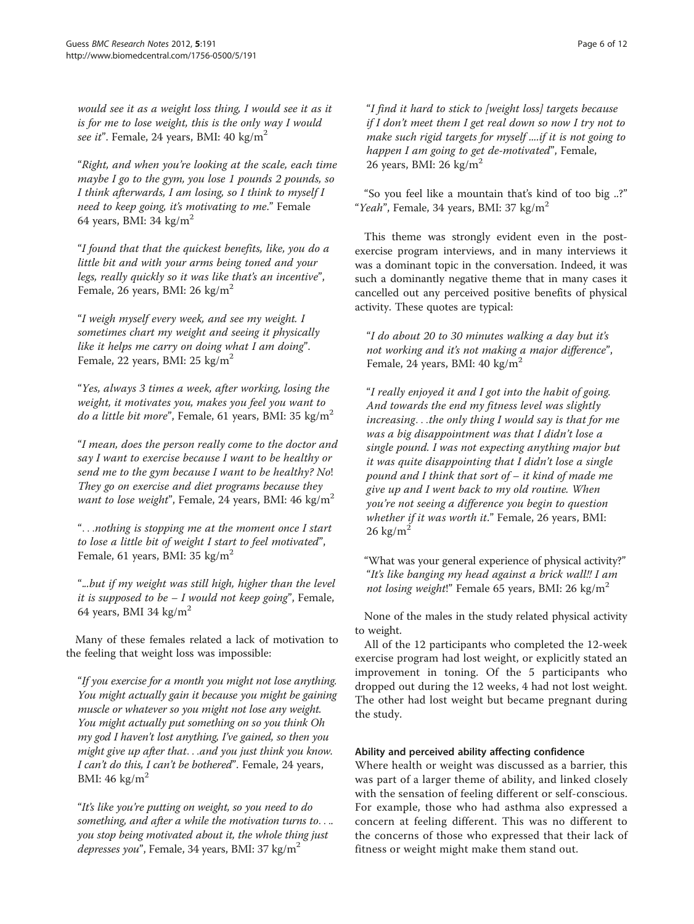would see it as a weight loss thing, I would see it as it is for me to lose weight, this is the only way I would see it". Female, 24 years, BMI: 40 kg/m<sup>2</sup>

"Right, and when you're looking at the scale, each time maybe I go to the gym, you lose 1 pounds 2 pounds, so I think afterwards, I am losing, so I think to myself I need to keep going, it's motivating to me." Female 64 years, BMI: 34 kg/ $m<sup>2</sup>$ 

"I found that that the quickest benefits, like, you do a little bit and with your arms being toned and your legs, really quickly so it was like that's an incentive", Female, 26 years, BMI: 26 kg/m<sup>2</sup>

"I weigh myself every week, and see my weight. I sometimes chart my weight and seeing it physically like it helps me carry on doing what I am doing". Female, 22 years, BMI: 25 kg/m<sup>2</sup>

"Yes, always 3 times a week, after working, losing the weight, it motivates you, makes you feel you want to *do a little bit more*", Female, 61 years, BMI: 35 kg/m<sup>2</sup>

"I mean, does the person really come to the doctor and say I want to exercise because I want to be healthy or send me to the gym because I want to be healthy? No! They go on exercise and diet programs because they want to lose weight", Female, 24 years, BMI:  $46 \text{ kg/m}^2$ 

"...nothing is stopping me at the moment once I start to lose a little bit of weight I start to feel motivated", Female, 61 years, BMI: 35 kg/m<sup>2</sup>

"...but if my weight was still high, higher than the level it is supposed to be  $-I$  would not keep going", Female, 64 years, BMI 34 kg/m<sup>2</sup>

Many of these females related a lack of motivation to the feeling that weight loss was impossible:

"If you exercise for a month you might not lose anything. You might actually gain it because you might be gaining muscle or whatever so you might not lose any weight. You might actually put something on so you think Oh my god I haven't lost anything, I've gained, so then you might give up after that...and you just think you know. I can't do this, I can't be bothered". Female, 24 years, BMI:  $46 \text{ kg/m}^2$ 

"It's like you're putting on weight, so you need to do something, and after a while the motivation turns to.... you stop being motivated about it, the whole thing just *depresses you*", Female, 34 years, BMI: 37 kg/m<sup>2</sup>

"I find it hard to stick to [weight loss] targets because if I don't meet them I get real down so now I try not to make such rigid targets for myself ....if it is not going to happen I am going to get de-motivated", Female, 26 years, BMI: 26 kg/m<sup>2</sup>

"So you feel like a mountain that's kind of too big ..?" "Yeah", Female, 34 years, BMI: 37 kg/m<sup>2</sup>

This theme was strongly evident even in the postexercise program interviews, and in many interviews it was a dominant topic in the conversation. Indeed, it was such a dominantly negative theme that in many cases it cancelled out any perceived positive benefits of physical activity. These quotes are typical:

"I do about 20 to 30 minutes walking a day but it's not working and it's not making a major difference", Female, 24 years, BMI:  $40 \text{ kg/m}^2$ 

"I really enjoyed it and I got into the habit of going. And towards the end my fitness level was slightly increasing...the only thing I would say is that for me was a big disappointment was that I didn't lose a single pound. I was not expecting anything major but it was quite disappointing that I didn't lose a single pound and I think that sort of – it kind of made me give up and I went back to my old routine. When you're not seeing a difference you begin to question whether if it was worth it." Female, 26 years, BMI:  $26 \text{ kg/m}^2$ 

"What was your general experience of physical activity?" "It's like banging my head against a brick wall!! I am not losing weight!" Female 65 years, BMI: 26 kg/m<sup>2</sup>

None of the males in the study related physical activity to weight.

All of the 12 participants who completed the 12-week exercise program had lost weight, or explicitly stated an improvement in toning. Of the 5 participants who dropped out during the 12 weeks, 4 had not lost weight. The other had lost weight but became pregnant during the study.

## Ability and perceived ability affecting confidence

Where health or weight was discussed as a barrier, this was part of a larger theme of ability, and linked closely with the sensation of feeling different or self-conscious. For example, those who had asthma also expressed a concern at feeling different. This was no different to the concerns of those who expressed that their lack of fitness or weight might make them stand out.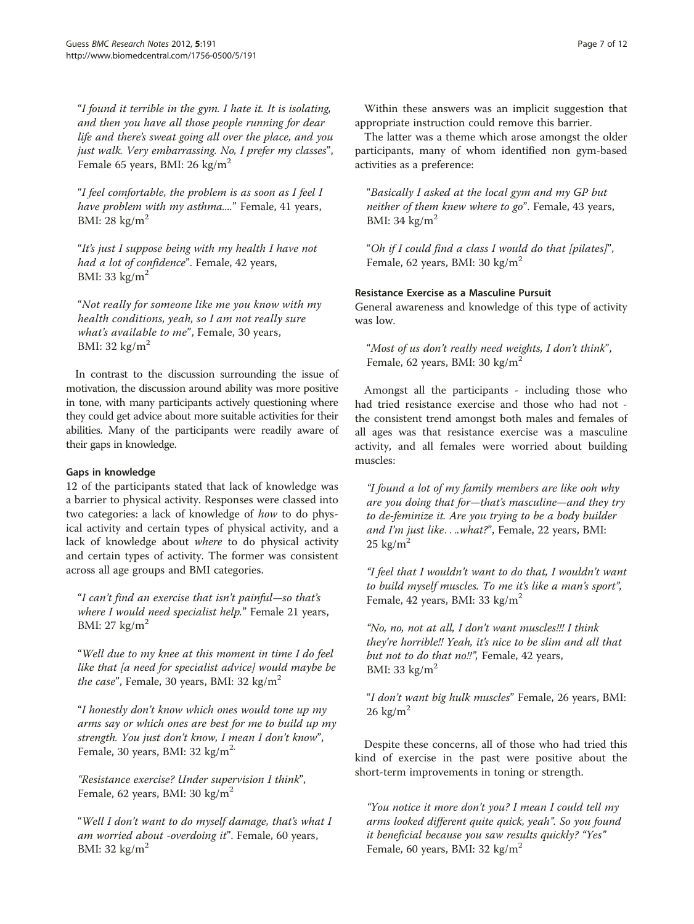"I found it terrible in the gym. I hate it. It is isolating, and then you have all those people running for dear life and there's sweat going all over the place, and you just walk. Very embarrassing. No, I prefer my classes", Female 65 years, BMI: 26 kg/m<sup>2</sup>

"I feel comfortable, the problem is as soon as I feel I have problem with my asthma...." Female, 41 years, BMI: 28 kg/ $m^2$ 

"It's just I suppose being with my health I have not had a lot of confidence". Female, 42 years, BMI: 33 kg/ $m<sup>2</sup>$ 

"Not really for someone like me you know with my health conditions, yeah, so I am not really sure what's available to me", Female, 30 years, BMI: 32 kg/ $m<sup>2</sup>$ 

In contrast to the discussion surrounding the issue of motivation, the discussion around ability was more positive in tone, with many participants actively questioning where they could get advice about more suitable activities for their abilities. Many of the participants were readily aware of their gaps in knowledge.

## Gaps in knowledge

12 of the participants stated that lack of knowledge was a barrier to physical activity. Responses were classed into two categories: a lack of knowledge of how to do physical activity and certain types of physical activity, and a lack of knowledge about where to do physical activity and certain types of activity. The former was consistent across all age groups and BMI categories.

"I can't find an exercise that isn't painful—so that's where I would need specialist help." Female 21 years, BMI:  $27 \text{ kg/m}^2$ 

"Well due to my knee at this moment in time I do feel like that [a need for specialist advice] would maybe be *the case*", Female, 30 years, BMI: 32 kg/m<sup>2</sup>

"I honestly don't know which ones would tone up my arms say or which ones are best for me to build up my strength. You just don't know, I mean I don't know", Female, 30 years, BMI: 32 kg/m<sup>2.</sup>

"Resistance exercise? Under supervision I think", Female, 62 years, BMI: 30 kg/ $m<sup>2</sup>$ 

"Well I don't want to do myself damage, that's what I am worried about -overdoing it". Female, 60 years, BMI: 32 kg/ $m<sup>2</sup>$ 

Within these answers was an implicit suggestion that appropriate instruction could remove this barrier.

The latter was a theme which arose amongst the older participants, many of whom identified non gym-based activities as a preference:

"Basically I asked at the local gym and my GP but neither of them knew where to go". Female, 43 years, BMI: 34 kg/ $m<sup>2</sup>$ 

"Oh if I could find a class I would do that [pilates]", Female, 62 years, BMI: 30 kg/m<sup>2</sup>

## Resistance Exercise as a Masculine Pursuit

General awareness and knowledge of this type of activity was low.

"Most of us don't really need weights, I don't think", Female, 62 years, BMI: 30 kg/m<sup>2</sup>

Amongst all the participants - including those who had tried resistance exercise and those who had not the consistent trend amongst both males and females of all ages was that resistance exercise was a masculine activity, and all females were worried about building muscles:

"I found a lot of my family members are like ooh why are you doing that for—that's masculine—and they try to de-feminize it. Are you trying to be a body builder and I'm just like...what?", Female, 22 years, BMI:  $25 \text{ kg/m}^2$ 

"I feel that I wouldn't want to do that, I wouldn't want to build myself muscles. To me it's like a man's sport", Female, 42 years, BMI: 33 kg/m<sup>2</sup>

"No, no, not at all, I don't want muscles!!! I think they're horrible!! Yeah, it's nice to be slim and all that but not to do that no!!", Female, 42 years, BMI: 33 kg/ $m<sup>2</sup>$ 

"I don't want big hulk muscles" Female, 26 years, BMI:  $26 \text{ kg/m}^2$ 

Despite these concerns, all of those who had tried this kind of exercise in the past were positive about the short-term improvements in toning or strength.

"You notice it more don't you? I mean I could tell my arms looked different quite quick, yeah". So you found it beneficial because you saw results quickly? "Yes" Female, 60 years, BMI: 32 kg/m<sup>2</sup>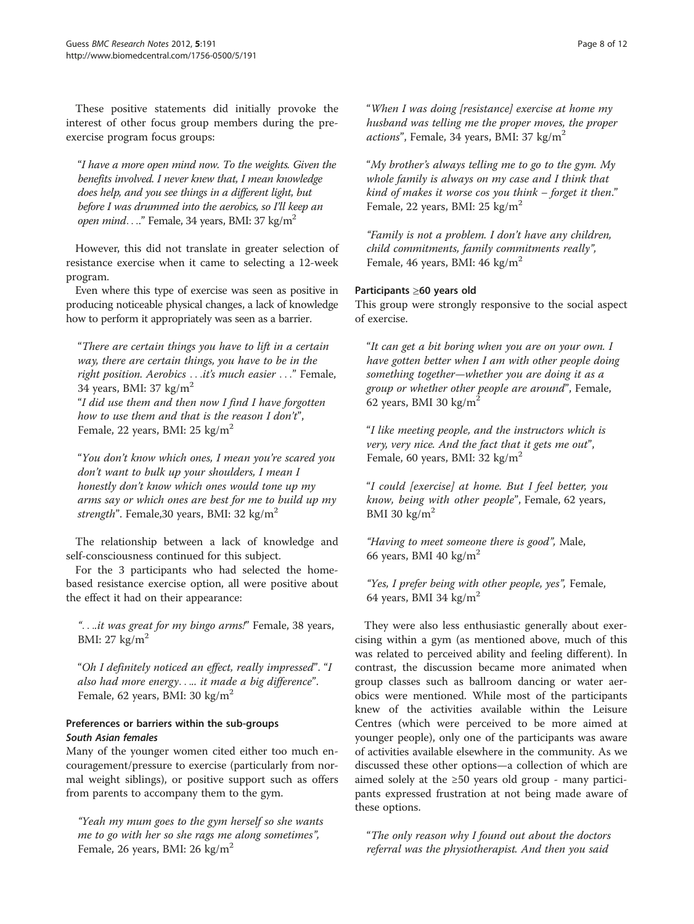These positive statements did initially provoke the interest of other focus group members during the preexercise program focus groups:

"I have a more open mind now. To the weights. Given the benefits involved. I never knew that, I mean knowledge does help, and you see things in a different light, but before I was drummed into the aerobics, so I'll keep an open mind...." Female, 34 years, BMI: 37 kg/m<sup>2</sup>

However, this did not translate in greater selection of resistance exercise when it came to selecting a 12-week program.

Even where this type of exercise was seen as positive in producing noticeable physical changes, a lack of knowledge how to perform it appropriately was seen as a barrier.

"There are certain things you have to lift in a certain way, there are certain things, you have to be in the right position. Aerobics ...it's much easier ..." Female, 34 years, BMI: 37  $\text{kg/m}^2$ 

"I did use them and then now I find I have forgotten how to use them and that is the reason I don't", Female, 22 years, BMI:  $25 \text{ kg/m}^2$ 

"You don't know which ones, I mean you're scared you don't want to bulk up your shoulders, I mean I honestly don't know which ones would tone up my arms say or which ones are best for me to build up my strength". Female, 30 years, BMI: 32 kg/m<sup>2</sup>

The relationship between a lack of knowledge and self-consciousness continued for this subject.

For the 3 participants who had selected the homebased resistance exercise option, all were positive about the effect it had on their appearance:

"...it was great for my bingo arms!" Female, 38 years, BMI:  $27 \text{ kg/m}^2$ 

"Oh I definitely noticed an effect, really impressed". "I also had more energy..... it made a big difference". Female, 62 years, BMI: 30 kg/m<sup>2</sup>

## Preferences or barriers within the sub-groups South Asian females

Many of the younger women cited either too much encouragement/pressure to exercise (particularly from normal weight siblings), or positive support such as offers from parents to accompany them to the gym.

"Yeah my mum goes to the gym herself so she wants me to go with her so she rags me along sometimes", Female, 26 years, BMI: 26 kg/m<sup>2</sup>

"When I was doing [resistance] exercise at home my husband was telling me the proper moves, the proper *actions*", Female, 34 years, BMI: 37 kg/m<sup>2</sup>

"My brother's always telling me to go to the gym. My whole family is always on my case and I think that kind of makes it worse cos you think – forget it then." Female, 22 years, BMI:  $25 \text{ kg/m}^2$ 

"Family is not a problem. I don't have any children, child commitments, family commitments really", Female, 46 years, BMI: 46 kg/m<sup>2</sup>

## Participants ≥60 years old

This group were strongly responsive to the social aspect of exercise.

"It can get a bit boring when you are on your own. I have gotten better when I am with other people doing something together—whether you are doing it as a group or whether other people are around", Female, 62 years, BMI 30 kg/ $m<sup>2</sup>$ 

"I like meeting people, and the instructors which is very, very nice. And the fact that it gets me out", Female, 60 years, BMI: 32 kg/m<sup>2</sup>

"I could [exercise] at home. But I feel better, you know, being with other people", Female, 62 years, BMI 30 kg/ $m<sup>2</sup>$ 

"Having to meet someone there is good", Male, 66 years, BMI 40 kg/ $m<sup>2</sup>$ 

"Yes, I prefer being with other people, yes", Female, 64 years, BMI 34 kg/m<sup>2</sup>

They were also less enthusiastic generally about exercising within a gym (as mentioned above, much of this was related to perceived ability and feeling different). In contrast, the discussion became more animated when group classes such as ballroom dancing or water aerobics were mentioned. While most of the participants knew of the activities available within the Leisure Centres (which were perceived to be more aimed at younger people), only one of the participants was aware of activities available elsewhere in the community. As we discussed these other options—a collection of which are aimed solely at the ≥50 years old group - many participants expressed frustration at not being made aware of these options.

"The only reason why I found out about the doctors referral was the physiotherapist. And then you said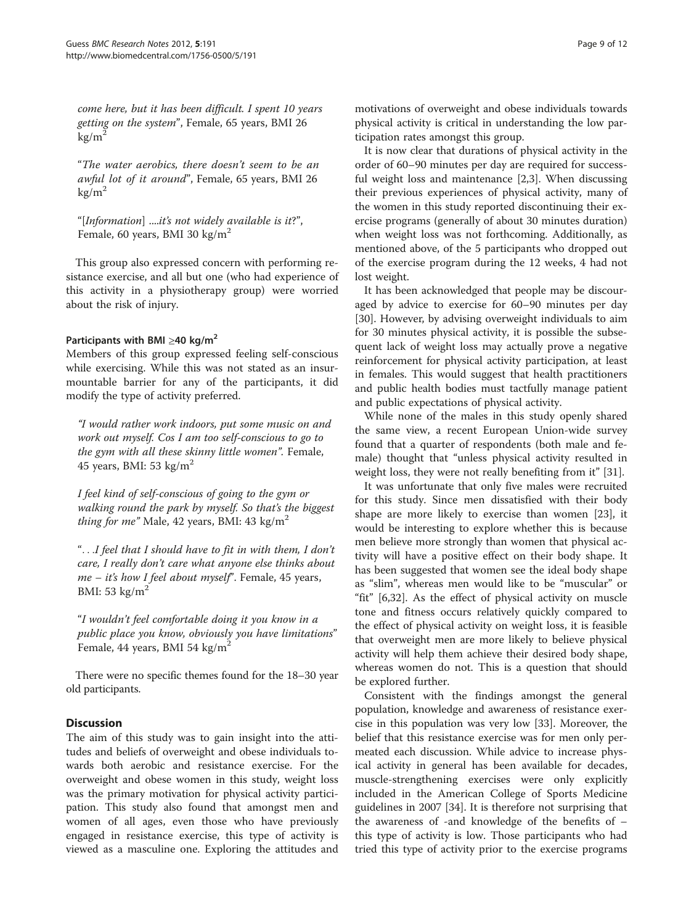come here, but it has been difficult. I spent 10 years getting on the system", Female, 65 years, BMI 26  $kg/m^2$ 

"The water aerobics, there doesn't seem to be an awful lot of it around", Female, 65 years, BMI 26  $kg/m<sup>2</sup>$ 

"[Information] ....it's not widely available is it?", Female, 60 years, BMI 30 kg/ $m<sup>2</sup>$ 

This group also expressed concern with performing resistance exercise, and all but one (who had experience of this activity in a physiotherapy group) were worried about the risk of injury.

## Participants with BMI  $\geq$ 40 kg/m<sup>2</sup>

Members of this group expressed feeling self-conscious while exercising. While this was not stated as an insurmountable barrier for any of the participants, it did modify the type of activity preferred.

"I would rather work indoors, put some music on and work out myself. Cos I am too self-conscious to go to the gym with all these skinny little women". Female, 45 years, BMI: 53 kg/m<sup>2</sup>

I feel kind of self-conscious of going to the gym or walking round the park by myself. So that's the biggest *thing for me*" Male, 42 years, BMI: 43 kg/m<sup>2</sup>

"...I feel that I should have to fit in with them, I don't care, I really don't care what anyone else thinks about me – it's how I feel about myself". Female, 45 years, BMI: 53 kg/ $m<sup>2</sup>$ 

"I wouldn't feel comfortable doing it you know in a public place you know, obviously you have limitations" Female, 44 years, BMI 54 kg/m<sup>2</sup>

There were no specific themes found for the 18–30 year old participants.

#### **Discussion**

The aim of this study was to gain insight into the attitudes and beliefs of overweight and obese individuals towards both aerobic and resistance exercise. For the overweight and obese women in this study, weight loss was the primary motivation for physical activity participation. This study also found that amongst men and women of all ages, even those who have previously engaged in resistance exercise, this type of activity is viewed as a masculine one. Exploring the attitudes and motivations of overweight and obese individuals towards physical activity is critical in understanding the low participation rates amongst this group.

It is now clear that durations of physical activity in the order of 60–90 minutes per day are required for successful weight loss and maintenance [\[2,3](#page-11-0)]. When discussing their previous experiences of physical activity, many of the women in this study reported discontinuing their exercise programs (generally of about 30 minutes duration) when weight loss was not forthcoming. Additionally, as mentioned above, of the 5 participants who dropped out of the exercise program during the 12 weeks, 4 had not lost weight.

It has been acknowledged that people may be discouraged by advice to exercise for 60–90 minutes per day [[30\]](#page-11-0). However, by advising overweight individuals to aim for 30 minutes physical activity, it is possible the subsequent lack of weight loss may actually prove a negative reinforcement for physical activity participation, at least in females. This would suggest that health practitioners and public health bodies must tactfully manage patient and public expectations of physical activity.

While none of the males in this study openly shared the same view, a recent European Union-wide survey found that a quarter of respondents (both male and female) thought that "unless physical activity resulted in weight loss, they were not really benefiting from it" [\[31\]](#page-11-0).

It was unfortunate that only five males were recruited for this study. Since men dissatisfied with their body shape are more likely to exercise than women [[23\]](#page-11-0), it would be interesting to explore whether this is because men believe more strongly than women that physical activity will have a positive effect on their body shape. It has been suggested that women see the ideal body shape as "slim", whereas men would like to be "muscular" or "fit" [[6,32\]](#page-11-0). As the effect of physical activity on muscle tone and fitness occurs relatively quickly compared to the effect of physical activity on weight loss, it is feasible that overweight men are more likely to believe physical activity will help them achieve their desired body shape, whereas women do not. This is a question that should be explored further.

Consistent with the findings amongst the general population, knowledge and awareness of resistance exercise in this population was very low [[33\]](#page-11-0). Moreover, the belief that this resistance exercise was for men only permeated each discussion. While advice to increase physical activity in general has been available for decades, muscle-strengthening exercises were only explicitly included in the American College of Sports Medicine guidelines in 2007 [\[34](#page-11-0)]. It is therefore not surprising that the awareness of -and knowledge of the benefits of – this type of activity is low. Those participants who had tried this type of activity prior to the exercise programs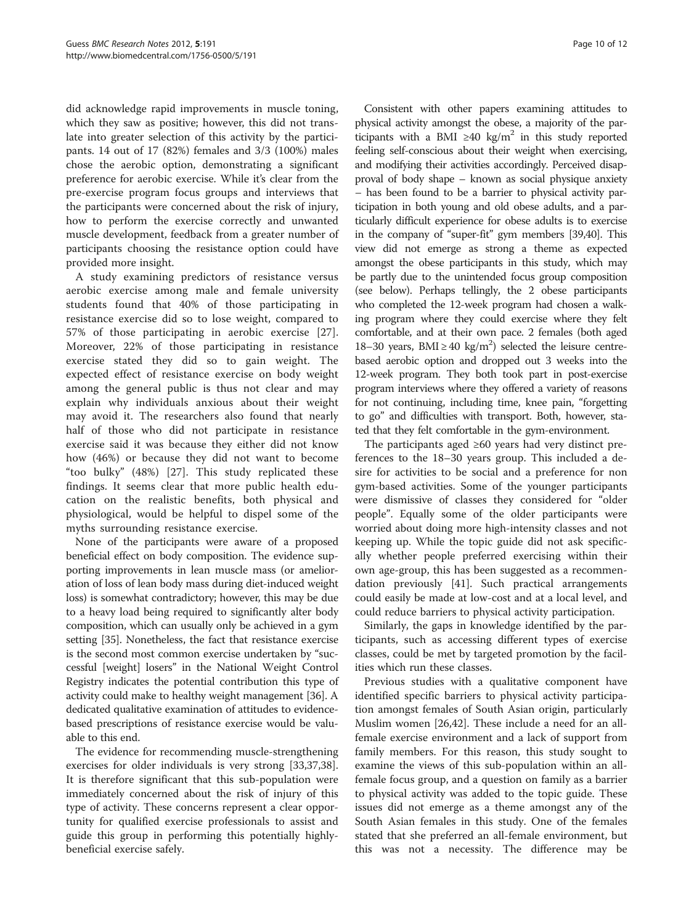did acknowledge rapid improvements in muscle toning, which they saw as positive; however, this did not translate into greater selection of this activity by the participants. 14 out of 17 (82%) females and 3/3 (100%) males chose the aerobic option, demonstrating a significant preference for aerobic exercise. While it's clear from the pre-exercise program focus groups and interviews that the participants were concerned about the risk of injury, how to perform the exercise correctly and unwanted muscle development, feedback from a greater number of participants choosing the resistance option could have provided more insight.

A study examining predictors of resistance versus aerobic exercise among male and female university students found that 40% of those participating in resistance exercise did so to lose weight, compared to 57% of those participating in aerobic exercise [\[27](#page-11-0)]. Moreover, 22% of those participating in resistance exercise stated they did so to gain weight. The expected effect of resistance exercise on body weight among the general public is thus not clear and may explain why individuals anxious about their weight may avoid it. The researchers also found that nearly half of those who did not participate in resistance exercise said it was because they either did not know how (46%) or because they did not want to become "too bulky" (48%) [\[27](#page-11-0)]. This study replicated these findings. It seems clear that more public health education on the realistic benefits, both physical and physiological, would be helpful to dispel some of the myths surrounding resistance exercise.

None of the participants were aware of a proposed beneficial effect on body composition. The evidence supporting improvements in lean muscle mass (or amelioration of loss of lean body mass during diet-induced weight loss) is somewhat contradictory; however, this may be due to a heavy load being required to significantly alter body composition, which can usually only be achieved in a gym setting [[35](#page-11-0)]. Nonetheless, the fact that resistance exercise is the second most common exercise undertaken by "successful [weight] losers" in the National Weight Control Registry indicates the potential contribution this type of activity could make to healthy weight management [\[36\]](#page-11-0). A dedicated qualitative examination of attitudes to evidencebased prescriptions of resistance exercise would be valuable to this end.

The evidence for recommending muscle-strengthening exercises for older individuals is very strong [\[33,37,38](#page-11-0)]. It is therefore significant that this sub-population were immediately concerned about the risk of injury of this type of activity. These concerns represent a clear opportunity for qualified exercise professionals to assist and guide this group in performing this potentially highlybeneficial exercise safely.

Consistent with other papers examining attitudes to physical activity amongst the obese, a majority of the participants with a BMI ≥40 kg/m<sup>2</sup> in this study reported feeling self-conscious about their weight when exercising, and modifying their activities accordingly. Perceived disapproval of body shape – known as social physique anxiety – has been found to be a barrier to physical activity participation in both young and old obese adults, and a particularly difficult experience for obese adults is to exercise in the company of "super-fit" gym members [\[39,40](#page-11-0)]. This view did not emerge as strong a theme as expected amongst the obese participants in this study, which may be partly due to the unintended focus group composition (see below). Perhaps tellingly, the 2 obese participants who completed the 12-week program had chosen a walking program where they could exercise where they felt comfortable, and at their own pace. 2 females (both aged 18–30 years, BMI ≥ 40 kg/m<sup>2</sup>) selected the leisure centrebased aerobic option and dropped out 3 weeks into the 12-week program. They both took part in post-exercise program interviews where they offered a variety of reasons for not continuing, including time, knee pain, "forgetting to go" and difficulties with transport. Both, however, stated that they felt comfortable in the gym-environment.

The participants aged ≥60 years had very distinct preferences to the 18–30 years group. This included a desire for activities to be social and a preference for non gym-based activities. Some of the younger participants were dismissive of classes they considered for "older people". Equally some of the older participants were worried about doing more high-intensity classes and not keeping up. While the topic guide did not ask specifically whether people preferred exercising within their own age-group, this has been suggested as a recommendation previously [\[41](#page-11-0)]. Such practical arrangements could easily be made at low-cost and at a local level, and could reduce barriers to physical activity participation.

Similarly, the gaps in knowledge identified by the participants, such as accessing different types of exercise classes, could be met by targeted promotion by the facilities which run these classes.

Previous studies with a qualitative component have identified specific barriers to physical activity participation amongst females of South Asian origin, particularly Muslim women [[26,42\]](#page-11-0). These include a need for an allfemale exercise environment and a lack of support from family members. For this reason, this study sought to examine the views of this sub-population within an allfemale focus group, and a question on family as a barrier to physical activity was added to the topic guide. These issues did not emerge as a theme amongst any of the South Asian females in this study. One of the females stated that she preferred an all-female environment, but this was not a necessity. The difference may be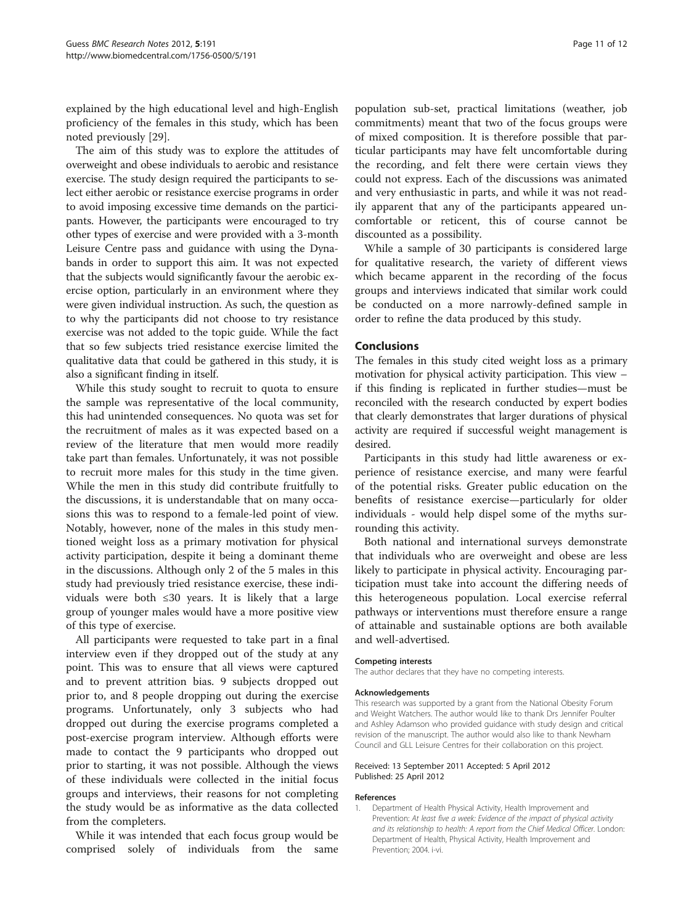<span id="page-10-0"></span>explained by the high educational level and high-English proficiency of the females in this study, which has been noted previously [[29](#page-11-0)].

The aim of this study was to explore the attitudes of overweight and obese individuals to aerobic and resistance exercise. The study design required the participants to select either aerobic or resistance exercise programs in order to avoid imposing excessive time demands on the participants. However, the participants were encouraged to try other types of exercise and were provided with a 3-month Leisure Centre pass and guidance with using the Dynabands in order to support this aim. It was not expected that the subjects would significantly favour the aerobic exercise option, particularly in an environment where they were given individual instruction. As such, the question as to why the participants did not choose to try resistance exercise was not added to the topic guide. While the fact that so few subjects tried resistance exercise limited the qualitative data that could be gathered in this study, it is also a significant finding in itself.

While this study sought to recruit to quota to ensure the sample was representative of the local community, this had unintended consequences. No quota was set for the recruitment of males as it was expected based on a review of the literature that men would more readily take part than females. Unfortunately, it was not possible to recruit more males for this study in the time given. While the men in this study did contribute fruitfully to the discussions, it is understandable that on many occasions this was to respond to a female-led point of view. Notably, however, none of the males in this study mentioned weight loss as a primary motivation for physical activity participation, despite it being a dominant theme in the discussions. Although only 2 of the 5 males in this study had previously tried resistance exercise, these individuals were both ≤30 years. It is likely that a large group of younger males would have a more positive view of this type of exercise.

All participants were requested to take part in a final interview even if they dropped out of the study at any point. This was to ensure that all views were captured and to prevent attrition bias. 9 subjects dropped out prior to, and 8 people dropping out during the exercise programs. Unfortunately, only 3 subjects who had dropped out during the exercise programs completed a post-exercise program interview. Although efforts were made to contact the 9 participants who dropped out prior to starting, it was not possible. Although the views of these individuals were collected in the initial focus groups and interviews, their reasons for not completing the study would be as informative as the data collected from the completers.

While it was intended that each focus group would be comprised solely of individuals from the same population sub-set, practical limitations (weather, job commitments) meant that two of the focus groups were of mixed composition. It is therefore possible that particular participants may have felt uncomfortable during the recording, and felt there were certain views they could not express. Each of the discussions was animated and very enthusiastic in parts, and while it was not readily apparent that any of the participants appeared uncomfortable or reticent, this of course cannot be discounted as a possibility.

While a sample of 30 participants is considered large for qualitative research, the variety of different views which became apparent in the recording of the focus groups and interviews indicated that similar work could be conducted on a more narrowly-defined sample in order to refine the data produced by this study.

#### Conclusions

The females in this study cited weight loss as a primary motivation for physical activity participation. This view – if this finding is replicated in further studies—must be reconciled with the research conducted by expert bodies that clearly demonstrates that larger durations of physical activity are required if successful weight management is desired.

Participants in this study had little awareness or experience of resistance exercise, and many were fearful of the potential risks. Greater public education on the benefits of resistance exercise—particularly for older individuals - would help dispel some of the myths surrounding this activity.

Both national and international surveys demonstrate that individuals who are overweight and obese are less likely to participate in physical activity. Encouraging participation must take into account the differing needs of this heterogeneous population. Local exercise referral pathways or interventions must therefore ensure a range of attainable and sustainable options are both available and well-advertised.

#### Competing interests

The author declares that they have no competing interests.

#### Acknowledgements

This research was supported by a grant from the National Obesity Forum and Weight Watchers. The author would like to thank Drs Jennifer Poulter and Ashley Adamson who provided guidance with study design and critical revision of the manuscript. The author would also like to thank Newham Council and GLL Leisure Centres for their collaboration on this project.

#### Received: 13 September 2011 Accepted: 5 April 2012 Published: 25 April 2012

#### References

1. Department of Health Physical Activity, Health Improvement and Prevention: At least five a week: Evidence of the impact of physical activity and its relationship to health: A report from the Chief Medical Officer. London: Department of Health, Physical Activity, Health Improvement and Prevention; 2004. i-vi.